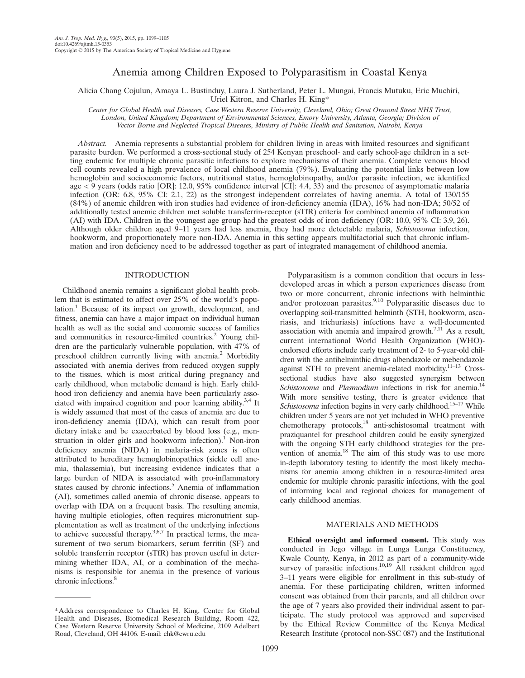# Anemia among Children Exposed to Polyparasitism in Coastal Kenya

Alicia Chang Cojulun, Amaya L. Bustinduy, Laura J. Sutherland, Peter L. Mungai, Francis Mutuku, Eric Muchiri, Uriel Kitron, and Charles H. King\*

Center for Global Health and Diseases, Case Western Reserve University, Cleveland, Ohio; Great Ormond Street NHS Trust, London, United Kingdom; Department of Environmental Sciences, Emory University, Atlanta, Georgia; Division of Vector Borne and Neglected Tropical Diseases, Ministry of Public Health and Sanitation, Nairobi, Kenya

Abstract. Anemia represents a substantial problem for children living in areas with limited resources and significant parasite burden. We performed a cross-sectional study of 254 Kenyan preschool- and early school-age children in a setting endemic for multiple chronic parasitic infections to explore mechanisms of their anemia. Complete venous blood cell counts revealed a high prevalence of local childhood anemia (79%). Evaluating the potential links between low hemoglobin and socioeconomic factors, nutritional status, hemoglobinopathy, and/or parasite infection, we identified age  $\lt 9$  years (odds ratio [OR]: 12.0, 95% confidence interval [CI]: 4.4, 33) and the presence of asymptomatic malaria infection (OR: 6.8, 95% CI: 2.1, 22) as the strongest independent correlates of having anemia. A total of 130/155 (84%) of anemic children with iron studies had evidence of iron-deficiency anemia (IDA), 16% had non-IDA; 50/52 of additionally tested anemic children met soluble transferrin-receptor (sTfR) criteria for combined anemia of inflammation (AI) with IDA. Children in the youngest age group had the greatest odds of iron deficiency (OR: 10.0, 95% CI: 3.9, 26). Although older children aged 9–11 years had less anemia, they had more detectable malaria, Schistosoma infection, hookworm, and proportionately more non-IDA. Anemia in this setting appears multifactorial such that chronic inflammation and iron deficiency need to be addressed together as part of integrated management of childhood anemia.

## INTRODUCTION

Childhood anemia remains a significant global health problem that is estimated to affect over 25% of the world's population.<sup>1</sup> Because of its impact on growth, development, and fitness, anemia can have a major impact on individual human health as well as the social and economic success of families and communities in resource-limited countries.<sup>2</sup> Young children are the particularly vulnerable population, with 47% of preschool children currently living with anemia.<sup>2</sup> Morbidity associated with anemia derives from reduced oxygen supply to the tissues, which is most critical during pregnancy and early childhood, when metabolic demand is high. Early childhood iron deficiency and anemia have been particularly associated with impaired cognition and poor learning ability.3,4 It is widely assumed that most of the cases of anemia are due to iron-deficiency anemia (IDA), which can result from poor dietary intake and be exacerbated by blood loss (e.g., menstruation in older girls and hookworm infection).<sup>1</sup> Non-iron deficiency anemia (NIDA) in malaria-risk zones is often attributed to hereditary hemoglobinopathies (sickle cell anemia, thalassemia), but increasing evidence indicates that a large burden of NIDA is associated with pro-inflammatory states caused by chronic infections.<sup>5</sup> Anemia of inflammation (AI), sometimes called anemia of chronic disease, appears to overlap with IDA on a frequent basis. The resulting anemia, having multiple etiologies, often requires micronutrient supplementation as well as treatment of the underlying infections to achieve successful therapy. $3,6,7$  In practical terms, the measurement of two serum biomarkers, serum ferritin (SF) and soluble transferrin receptor (sTfR) has proven useful in determining whether IDA, AI, or a combination of the mechanisms is responsible for anemia in the presence of various chronic infections.8

Polyparasitism is a common condition that occurs in lessdeveloped areas in which a person experiences disease from two or more concurrent, chronic infections with helminthic and/or protozoan parasites.<sup>9,10</sup> Polyparasitic diseases due to overlapping soil-transmitted helminth (STH, hookworm, ascariasis, and trichuriasis) infections have a well-documented association with anemia and impaired growth.<sup>7,11</sup> As a result, current international World Health Organization (WHO) endorsed efforts include early treatment of 2- to 5-year-old children with the antihelminthic drugs albendazole or mebendazole against STH to prevent anemia-related morbidity.11–<sup>13</sup> Crosssectional studies have also suggested synergism between Schistosoma and Plasmodium infections in risk for anemia.<sup>14</sup> With more sensitive testing, there is greater evidence that Schistosoma infection begins in very early childhood.<sup>15–17</sup> While children under 5 years are not yet included in WHO preventive chemotherapy protocols,<sup>18</sup> anti-schistosomal treatment with praziquantel for preschool children could be easily synergized with the ongoing STH early childhood strategies for the prevention of anemia.18 The aim of this study was to use more in-depth laboratory testing to identify the most likely mechanisms for anemia among children in a resource-limited area endemic for multiple chronic parasitic infections, with the goal of informing local and regional choices for management of early childhood anemias.

## MATERIALS AND METHODS

Ethical oversight and informed consent. This study was conducted in Jego village in Lunga Lunga Constituency, Kwale County, Kenya, in 2012 as part of a community-wide survey of parasitic infections.<sup>10,19</sup> All resident children aged 3–11 years were eligible for enrollment in this sub-study of anemia. For these participating children, written informed consent was obtained from their parents, and all children over the age of 7 years also provided their individual assent to participate. The study protocol was approved and supervised by the Ethical Review Committee of the Kenya Medical Research Institute (protocol non-SSC 087) and the Institutional

<sup>\*</sup>Address correspondence to Charles H. King, Center for Global Health and Diseases, Biomedical Research Building, Room 422, Case Western Reserve University School of Medicine, 2109 Adelbert Road, Cleveland, OH 44106. E-mail: chk@cwru.edu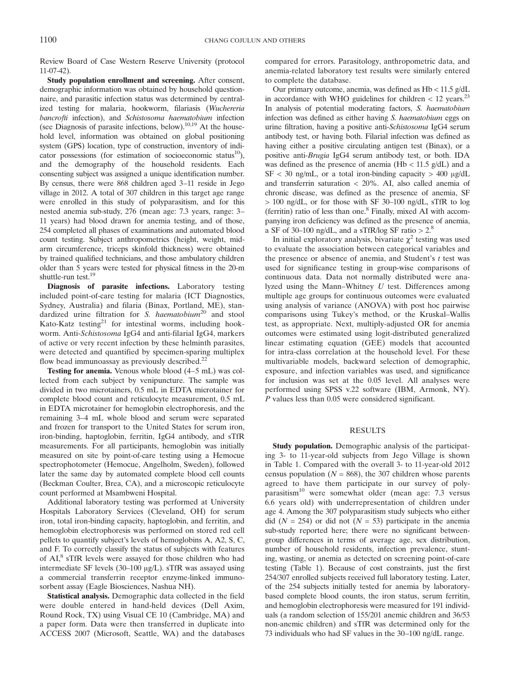Review Board of Case Western Reserve University (protocol 11-07-42).

Study population enrollment and screening. After consent, demographic information was obtained by household questionnaire, and parasitic infection status was determined by centralized testing for malaria, hookworm, filariasis (Wuchereria bancrofti infection), and Schistosoma haematobium infection (see Diagnosis of parasite infections, below).<sup>10,19</sup> At the household level, information was obtained on global positioning system (GPS) location, type of construction, inventory of indicator possessions (for estimation of socioeconomic status $^{10}$ ), and the demography of the household residents. Each consenting subject was assigned a unique identification number. By census, there were 868 children aged 3–11 reside in Jego village in 2012. A total of 307 children in this target age range were enrolled in this study of polyparasitism, and for this nested anemia sub-study, 276 (mean age: 7.3 years, range: 3– 11 years) had blood drawn for anemia testing, and of those, 254 completed all phases of examinations and automated blood count testing. Subject anthropometrics (height, weight, midarm circumference, triceps skinfold thickness) were obtained by trained qualified technicians, and those ambulatory children older than 5 years were tested for physical fitness in the 20-m shuttle-run test.<sup>19</sup>

Diagnosis of parasite infections. Laboratory testing included point-of-care testing for malaria (ICT Diagnostics, Sydney, Australia) and filaria (Binax, Portland, ME), standardized urine filtration for S. haematobium<sup>20</sup> and stool Kato-Katz testing<sup>21</sup> for intestinal worms, including hookworm. Anti-Schistosoma IgG4 and anti-filarial IgG4, markers of active or very recent infection by these helminth parasites, were detected and quantified by specimen-sparing multiplex flow bead immunoassay as previously described. $^{22}$ 

Testing for anemia. Venous whole blood (4–5 mL) was collected from each subject by venipuncture. The sample was divided in two microtainers, 0.5 mL in EDTA microtainer for complete blood count and reticulocyte measurement, 0.5 mL in EDTA microtainer for hemoglobin electrophoresis, and the remaining 3–4 mL whole blood and serum were separated and frozen for transport to the United States for serum iron, iron-binding, haptoglobin, ferritin, IgG4 antibody, and sTfR measurements. For all participants, hemoglobin was initially measured on site by point-of-care testing using a Hemocue spectrophotometer (Hemocue, Angelholm, Sweden), followed later the same day by automated complete blood cell counts (Beckman Coulter, Brea, CA), and a microscopic reticulocyte count performed at Msambweni Hospital.

Additional laboratory testing was performed at University Hospitals Laboratory Services (Cleveland, OH) for serum iron, total iron-binding capacity, haptoglobin, and ferritin, and hemoglobin electrophoresis was performed on stored red cell pellets to quantify subject's levels of hemoglobins A, A2, S, C, and F. To correctly classify the status of subjects with features of AI,<sup>8</sup> sTfR levels were assayed for those children who had intermediate SF levels (30–100 μg/L). sTfR was assayed using a commercial transferrin receptor enzyme-linked immunosorbent assay (Eagle Biosciences, Nashua NH).

Statistical analysis. Demographic data collected in the field were double entered in hand-held devices (Dell Axim, Round Rock, TX) using Visual CE 10 (Cambridge, MA) and a paper form. Data were then transferred in duplicate into ACCESS 2007 (Microsoft, Seattle, WA) and the databases compared for errors. Parasitology, anthropometric data, and anemia-related laboratory test results were similarly entered to complete the database.

Our primary outcome, anemia, was defined as Hb < 11.5 g/dL in accordance with WHO guidelines for children  $<$  12 years.<sup>23</sup> In analysis of potential moderating factors, S. haematobium infection was defined as either having S. haematobium eggs on urine filtration, having a positive anti-Schistosoma IgG4 serum antibody test, or having both. Filarial infection was defined as having either a positive circulating antigen test (Binax), or a positive anti-Brugia IgG4 serum antibody test, or both. IDA was defined as the presence of anemia (Hb  $<$  11.5 g/dL) and a  $SF < 30$  ng/mL, or a total iron-binding capacity  $> 400 \mu g/dL$ and transferrin saturation < 20%. AI, also called anemia of chronic disease, was defined as the presence of anemia, SF > 100 ng/dL, or for those with SF 30–100 ng/dL, sTfR to log (ferritin) ratio of less than one.<sup>8</sup> Finally, mixed AI with accompanying iron deficiency was defined as the presence of anemia, a SF of 30–100 ng/dL, and a sTfR/log SF ratio  $> 2.8$ 

In initial exploratory analysis, bivariate  $\chi^2$  testing was used to evaluate the association between categorical variables and the presence or absence of anemia, and Student's  $t$  test was used for significance testing in group-wise comparisons of continuous data. Data not normally distributed were analyzed using the Mann–Whitney  $U$  test. Differences among multiple age groups for continuous outcomes were evaluated using analysis of variance (ANOVA) with post hoc pairwise comparisons using Tukey's method, or the Kruskal–Wallis test, as appropriate. Next, multiply-adjusted OR for anemia outcomes were estimated using logit-distributed generalized linear estimating equation (GEE) models that accounted for intra-class correlation at the household level. For these multivariable models, backward selection of demographic, exposure, and infection variables was used, and significance for inclusion was set at the 0.05 level. All analyses were performed using SPSS v.22 software (IBM, Armonk, NY). P values less than 0.05 were considered significant.

#### RESULTS

Study population. Demographic analysis of the participating 3- to 11-year-old subjects from Jego Village is shown in Table 1. Compared with the overall 3- to 11-year-old 2012 census population ( $N = 868$ ), the 307 children whose parents agreed to have them participate in our survey of polyparasitism<sup>10</sup> were somewhat older (mean age:  $7.3$  versus 6.6 years old) with underrepresentation of children under age 4. Among the 307 polyparasitism study subjects who either did ( $N = 254$ ) or did not ( $N = 53$ ) participate in the anemia sub-study reported here; there were no significant betweengroup differences in terms of average age, sex distribution, number of household residents, infection prevalence, stunting, wasting, or anemia as detected on screening point-of-care testing (Table 1). Because of cost constraints, just the first 254/307 enrolled subjects received full laboratory testing. Later, of the 254 subjects initially tested for anemia by laboratorybased complete blood counts, the iron status, serum ferritin, and hemoglobin electrophoresis were measured for 191 individuals (a random selection of 155/201 anemic children and 36/53 non-anemic children) and sTfR was determined only for the 73 individuals who had SF values in the 30–100 ng/dL range.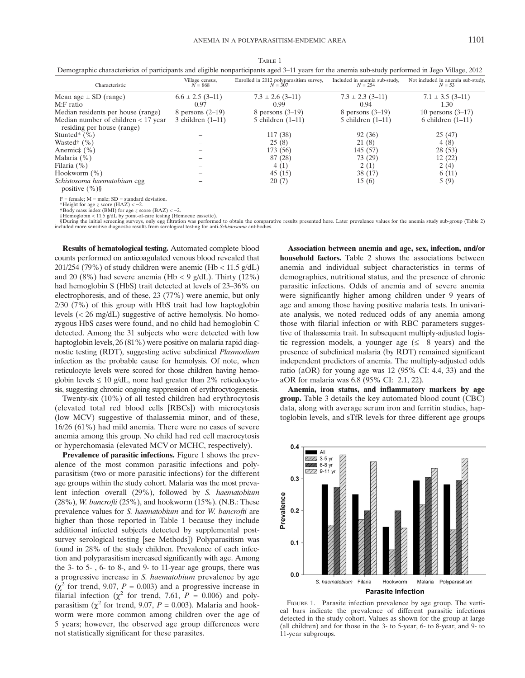TABLE 1

| Characteristic                                                      | Village census,<br>$N = 868$ | Enrolled in 2012 polyparasitism survey,<br>$N = 307$ | Included in anemia sub-study,<br>$N = 254$ | Not included in anemia sub-study.<br>$N = 53$ |  |  |
|---------------------------------------------------------------------|------------------------------|------------------------------------------------------|--------------------------------------------|-----------------------------------------------|--|--|
| Mean age $\pm$ SD (range)                                           | $6.6 \pm 2.5$ (3-11)         | $7.3 \pm 2.6$ (3-11)                                 | $7.3 \pm 2.3$ (3-11)                       | $7.1 \pm 3.5$ (3-11)                          |  |  |
| M:F ratio                                                           | 0.97                         | 0.99                                                 | 0.94                                       | 1.30                                          |  |  |
| Median residents per house (range)                                  | 8 persons $(2-19)$           | 8 persons $(3-19)$                                   | 8 persons $(3-19)$                         | 10 persons $(3-17)$                           |  |  |
| Median number of children $< 17$ year<br>residing per house (range) | 3 children $(1-11)$          | 5 children $(1-11)$                                  | 5 children $(1-11)$                        | $6$ children $(1-11)$                         |  |  |
| Stunted* $(\% )$                                                    |                              | 117(38)                                              | 92 (36)                                    | 25(47)                                        |  |  |
| Wasted $(\%)$                                                       |                              | 25(8)                                                | 21(8)                                      | 4(8)                                          |  |  |
| Anemic $\ddagger$ (%)                                               |                              | 173 (56)                                             | 145 (57)                                   | 28(53)                                        |  |  |
| Malaria (%)                                                         |                              | 87 (28)                                              | 73 (29)                                    | 12(22)                                        |  |  |
| Filaria $(\% )$                                                     |                              | 4(1)                                                 | 2(1)                                       | 2(4)                                          |  |  |
| Hookworm $(\% )$                                                    |                              | 45(15)                                               | 38(17)                                     | 6(11)                                         |  |  |
| Schistosoma haematobium egg<br>positive $(\% )\$                    |                              | 20(7)                                                | 15(6)                                      | 5(9)                                          |  |  |

Demographic characteristics of participants and eligible nonparticipants aged 3–11 years for the anemia sub-study performed in Jego Village, 2012

 $F =$  female;  $M =$  male;  $SD =$  standard deviation.

\*Height for age z score (HAZ) < −2. †Body mass index (BMI) for age z score (BAZ) < −2.

#Hemoglobin < 11.5 g/dL by point-of-care testing (Hemocue cassette).<br>§During the initial screening surveys, only egg filtration was performed to obtain the comparative results presented here. Later prevalence values for th included more sensitive diagnostic results from serological testing for anti-Schistosoma antibodies.

Results of hematological testing. Automated complete blood counts performed on anticoagulated venous blood revealed that 201/254 (79%) of study children were anemic (Hb < 11.5 g/dL) and 20 (8%) had severe anemia (Hb < 9 g/dL). Thirty (12%) had hemoglobin S (HbS) trait detected at levels of 23–36% on electrophoresis, and of these, 23 (77%) were anemic, but only 2/30 (7%) of this group with HbS trait had low haptoglobin levels (< 26 mg/dL) suggestive of active hemolysis. No homozygous HbS cases were found, and no child had hemoglobin C detected. Among the 31 subjects who were detected with low haptoglobin levels, 26 (81%) were positive on malaria rapid diagnostic testing (RDT), suggesting active subclinical Plasmodium infection as the probable cause for hemolysis. Of note, when reticulocyte levels were scored for those children having hemoglobin levels  $\leq 10$  g/dL, none had greater than 2% reticulocytosis, suggesting chronic ongoing suppression of erythrocytogenesis.

Twenty-six (10%) of all tested children had erythrocytosis (elevated total red blood cells [RBCs]) with microcytosis (low MCV) suggestive of thalassemia minor, and of these, 16/26 (61%) had mild anemia. There were no cases of severe anemia among this group. No child had red cell macrocytosis or hyperchomasia (elevated MCV or MCHC, respectively).

Prevalence of parasitic infections. Figure 1 shows the prevalence of the most common parasitic infections and polyparasitism (two or more parasitic infections) for the different age groups within the study cohort. Malaria was the most prevalent infection overall (29%), followed by S. haematobium  $(28\%)$ , W. bancrofti  $(25\%)$ , and hookworm  $(15\%)$ . (N.B.: These prevalence values for S. haematobium and for W. bancrofti are higher than those reported in Table 1 because they include additional infected subjects detected by supplemental postsurvey serological testing [see Methods]) Polyparasitism was found in 28% of the study children. Prevalence of each infection and polyparasitism increased significantly with age. Among the 3- to 5- , 6- to 8-, and 9- to 11-year age groups, there was a progressive increase in S. haematobium prevalence by age  $(\chi^2$  for trend, 9.07,  $P = 0.003$ ) and a progressive increase in filarial infection ( $\chi^2$  for trend, 7.61,  $P = 0.006$ ) and polyparasitism ( $\chi^2$  for trend, 9.07,  $P = 0.003$ ). Malaria and hookworm were more common among children over the age of 5 years; however, the observed age group differences were not statistically significant for these parasites.

Association between anemia and age, sex, infection, and/or household factors. Table 2 shows the associations between anemia and individual subject characteristics in terms of demographics, nutritional status, and the presence of chronic parasitic infections. Odds of anemia and of severe anemia were significantly higher among children under 9 years of age and among those having positive malaria tests. In univariate analysis, we noted reduced odds of any anemia among those with filarial infection or with RBC parameters suggestive of thalassemia trait. In subsequent multiply-adjusted logistic regression models, a younger age  $( \leq 8 \text{ years})$  and the presence of subclinical malaria (by RDT) remained significant independent predictors of anemia. The multiply-adjusted odds ratio (aOR) for young age was 12 (95% CI: 4.4, 33) and the aOR for malaria was 6.8 (95% CI: 2.1, 22).

Anemia, iron status, and inflammatory markers by age group. Table 3 details the key automated blood count (CBC) data, along with average serum iron and ferritin studies, haptoglobin levels, and sTfR levels for three different age groups



FIGURE 1. Parasite infection prevalence by age group. The vertical bars indicate the prevalence of different parasitic infections detected in the study cohort. Values as shown for the group at large (all children) and for those in the 3- to 5-year, 6- to 8-year, and 9- to 11-year subgroups.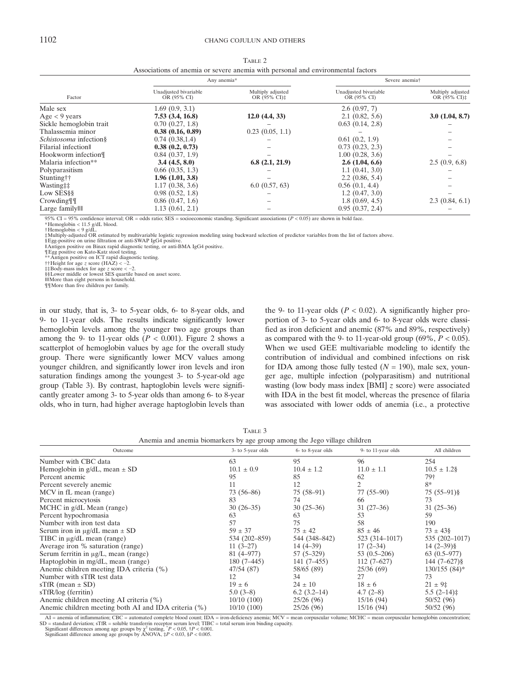| Factor                        | Any anemia*                             |                                               | Severe anemia†                          |                                               |
|-------------------------------|-----------------------------------------|-----------------------------------------------|-----------------------------------------|-----------------------------------------------|
|                               | Unadjusted bivariable<br>$OR (95\% CI)$ | Multiply adjusted<br>OR $(95\% \text{ CI})$ : | Unadjusted bivariable<br>$OR (95\% CI)$ | Multiply adjusted<br>OR $(95\% \text{ CI})$ : |
| Male sex                      | 1.69(0.9, 3.1)                          |                                               | 2.6(0.97, 7)                            |                                               |
| $Age < 9$ years               | 7.53(3.4, 16.8)                         | 12.0(4.4, 33)                                 | $2.1$ $(0.82, 5.6)$                     | 3.0(1.04, 8.7)                                |
| Sickle hemoglobin trait       | 0.70(0.27, 1.8)                         |                                               | $0.63$ $(0.14, 2.8)$                    |                                               |
| Thalassemia minor             | 0.38(0.16, 0.89)                        | $0.23$ $(0.05, 1.1)$                          |                                         |                                               |
| <i>Schistosoma</i> infection§ | 0.74(0.38, 1.4)                         |                                               | 0.61(0.2, 1.9)                          |                                               |
| Filarial infection            | 0.38(0.2, 0.73)                         |                                               | 0.73(0.23, 2.3)                         |                                               |
| Hookworm infection¶           | 0.84(0.37, 1.9)                         |                                               | 1.00(0.28, 3.6)                         |                                               |
| Malaria infection**           | 3.4(4.5, 8.0)                           | 6.8(2.1, 21.9)                                | 2.6(1.04, 6.6)                          | 2.5(0.9, 6.8)                                 |
| Polyparasitism                | 0.66(0.35, 1.3)                         |                                               | 1.1(0.41, 3.0)                          |                                               |
| Stunting††                    | 1.96(1.01, 3.8)                         |                                               | 2.2(0.86, 5.4)                          |                                               |
| Wasting‡‡                     | 1.17(0.38, 3.6)                         | 6.0(0.57, 63)                                 | 0.56(0.1, 4.4)                          |                                               |
| Low SES§§                     | 0.98(0.52, 1.8)                         |                                               | 1.2(0.47, 3.0)                          |                                               |
| $Crowding\P\P$                | 0.86(0.47, 1.6)                         |                                               | 1.8(0.69, 4.5)                          | 2.3(0.84, 6.1)                                |
| Large familylll               | 1.13(0.61, 2.1)                         |                                               | 0.95(0.37, 2.4)                         |                                               |

|                                                                                 | TABLE 2 |  |  |  |
|---------------------------------------------------------------------------------|---------|--|--|--|
| Associations of anemia or severe anemia with personal and environmental factors |         |  |  |  |

95% CI = 95% confidence interval; OR = odds ratio; SES = socioeconomic standing. Significant associations (P < 0.05) are shown in bold face.

\*Hemoglobin < 11.5 g/dL blood.

†Hemoglobin < 9 g/dL.<br>‡Multiply-adjusted OR estimated by multivariable logistic regression modeling using backward selection of predictor variables from the list of factors above.

§Egg-positive on urine filtration or anti-SWAP IgG4 positive.<br>∥Antigen positive on Binax rapid diagnostic testing, or anti-BMA IgG4 positive.<br>¶Egg positive on Kato-Katz stool testing.

\*Antigen positive on ICT rapid diagnostic testing.

††Height for age z score (HAZ) < −2. ‡‡Body-mass index for age z score < −2. §§Lower middle or lowest SES quartile based on asset score.

∥∥More than eight persons in household. ¶¶More than five children per family.

in our study, that is, 3- to 5-year olds, 6- to 8-year olds, and 9- to 11-year olds. The results indicate significantly lower hemoglobin levels among the younger two age groups than among the 9- to 11-year olds ( $P < 0.001$ ). Figure 2 shows a scatterplot of hemoglobin values by age for the overall study group. There were significantly lower MCV values among younger children, and significantly lower iron levels and iron saturation findings among the youngest 3- to 5-year-old age group (Table 3). By contrast, haptoglobin levels were significantly greater among 3- to 5-year olds than among 6- to 8-year olds, who in turn, had higher average haptoglobin levels than

the 9- to 11-year olds ( $P < 0.02$ ). A significantly higher proportion of 3- to 5-year olds and 6- to 8-year olds were classified as iron deficient and anemic (87% and 89%, respectively) as compared with the 9- to 11-year-old group  $(69\%, P < 0.05)$ . When we used GEE multivariable modeling to identify the contribution of individual and combined infections on risk for IDA among those fully tested  $(N = 190)$ , male sex, younger age, multiple infection (polyparasitism) and nutritional wasting (low body mass index [BMI] z score) were associated with IDA in the best fit model, whereas the presence of filaria was associated with lower odds of anemia (i.e., a protective

| TABLE 3 |  |  |                                                                           |  |
|---------|--|--|---------------------------------------------------------------------------|--|
|         |  |  | Anemia and anemia biomarkers by age group among the Jego village children |  |

| Outcome                                              | 3- to 5-year olds | 6- to 8-year olds | 9- to 11-year olds | All children     |
|------------------------------------------------------|-------------------|-------------------|--------------------|------------------|
|                                                      |                   |                   |                    |                  |
| Number with CBC data                                 | 63                | 95                | 96                 | 254              |
| Hemoglobin in $g/dL$ , mean $\pm$ SD                 | $10.1 \pm 0.9$    | $10.4 \pm 1.2$    | $11.0 \pm 1.1$     | $10.5 \pm 1.2$ § |
| Percent anemic                                       | 95                | 85                | 62                 | 79†              |
| Percent severely anemic                              | 11                | 12                |                    | $8*$             |
| MCV in fL mean (range)                               | 73 (56–86)        | $75(58-91)$       | $77(55-90)$        | $75(55-91)\$     |
| Percent microcytosis                                 | 83                | 74                | 66                 | 73               |
| MCHC in g/dL Mean (range)                            | $30(26-35)$       | $30(25-36)$       | $31(27-36)$        | $31(25-36)$      |
| Percent hypochromasia                                | 63                | 63                | 53                 | 59               |
| Number with iron test data                           | 57                | 75                | 58                 | 190              |
| Serum iron in $\mu$ g/dL mean $\pm$ SD               | $59 \pm 37$       | $75 \pm 42$       | $85 \pm 46$        | $73 + 438$       |
| TIBC in $\mu$ g/dL mean (range)                      | 534 (202–859)     | 544 (348–842)     | 523 (314–1017)     | 535 (202-1017)   |
| Average iron % saturation (range)                    | $11(3-27)$        | $14(4-39)$        | $17(2-34)$         | $14(2-39)\$      |
| Serum ferritin in $\mu$ g/L, mean (range)            | 81 (4–977)        | $57(5-329)$       | $53(0.5-206)$      | $63(0.5-977)$    |
| Haptoglobin in mg/dL, mean (range)                   | $180(7-445)$      | $141(7-455)$      | $112(7-627)$       | $144(7-627)\$    |
| Anemic children meeting IDA criteria (%)             | 47/54 (87)        | 58/65 (89)        | 25/36(69)          | $130/155(84)$ *  |
| Number with sTfR test data                           | 12                | 34                | 27                 | 73               |
| sTfR (mean $\pm$ SD)                                 | $19 \pm 6$        | $24 \pm 10$       | $18 \pm 6$         | $21 \pm 9$ ‡     |
| sTfR/log (ferritin)                                  | $5.0(3-8)$        | $6.2(3.2-14)$     | $4.7(2-8)$         | $5.5(2-14)$      |
| Anemic children meeting AI criteria (%)              | 10/10(100)        | 25/26(96)         | 15/16(94)          | 50/52 (96)       |
| Anemic children meeting both AI and IDA criteria (%) | 10/10(100)        | 25/26 (96)        | 15/16(94)          | 50/52 (96)       |

AI = anemia of inflammation; CBC = automated complete blood count; IDA = iron-deficiency anemia; MCV = mean corpuscular volume; MCHC = mean corpuscular hemoglobin concentration; SD = standard deviation; sTfR = soluble transferrin receptor serum level; TIBC = total serum iron binding capacity.<br>Significant differences among age groups by  $\chi^2$  testing,  $P < 0.05$ ,  $\eta P < 0.001$ .

Significant difference among age groups by ANOVA,  $\frac{4}{3}P < 0.03$ ,  $\frac{8}{3}P < 0.005$ .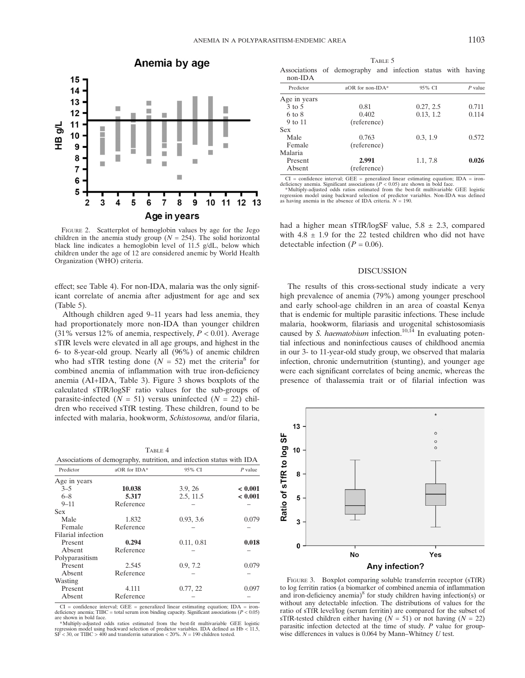

FIGURE 2. Scatterplot of hemoglobin values by age for the Jego children in the anemia study group ( $N = 254$ ). The solid horizontal black line indicates a hemoglobin level of 11.5 g/dL, below which children under the age of 12 are considered anemic by World Health Organization (WHO) criteria.

effect; see Table 4). For non-IDA, malaria was the only significant correlate of anemia after adjustment for age and sex (Table 5).

Although children aged 9–11 years had less anemia, they had proportionately more non-IDA than younger children (31% versus 12% of anemia, respectively,  $P < 0.01$ ). Average sTfR levels were elevated in all age groups, and highest in the 6- to 8-year-old group. Nearly all (96%) of anemic children who had sTfR testing done ( $N = 52$ ) met the criteria<sup>8</sup> for combined anemia of inflammation with true iron-deficiency anemia (AI+IDA, Table 3). Figure 3 shows boxplots of the calculated sTfR/logSF ratio values for the sub-groups of parasite-infected  $(N = 51)$  versus uninfected  $(N = 22)$  children who received sTfR testing. These children, found to be infected with malaria, hookworm, Schistosoma, and/or filaria,

 $T$ ABI E  $4$  $\sigma$  istions of demography, nutrition, and infection status with IDA

| Associations of demography, nutrition, and infection status with IDA |              |            |           |  |  |
|----------------------------------------------------------------------|--------------|------------|-----------|--|--|
| Predictor                                                            | aOR for IDA* | 95% CI     | $P$ value |  |  |
| Age in years                                                         |              |            |           |  |  |
| $3 - 5$                                                              | 10.038       | 3.9, 26    | < 0.001   |  |  |
| $6 - 8$                                                              | 5.317        | 2.5, 11.5  | < 0.001   |  |  |
| $9 - 11$                                                             | Reference    |            |           |  |  |
| <b>Sex</b>                                                           |              |            |           |  |  |
| Male                                                                 | 1.832        | 0.93, 3.6  | 0.079     |  |  |
| Female                                                               | Reference    |            |           |  |  |
| Filarial infection                                                   |              |            |           |  |  |
| Present                                                              | 0.294        | 0.11, 0.81 | 0.018     |  |  |
| Absent                                                               | Reference    |            |           |  |  |
| Polyparasitism                                                       |              |            |           |  |  |
| Present                                                              | 2.545        | 0.9, 7.2   | 0.079     |  |  |
| Absent                                                               | Reference    |            |           |  |  |
| Wasting                                                              |              |            |           |  |  |
| Present                                                              | 4.111        | 0.77, 22   | 0.097     |  |  |
| Absent                                                               | Reference    |            |           |  |  |
|                                                                      |              |            |           |  |  |

CI = confidence interval; GEE = generalized linear estimating equation; IDA = iron-deficiency anemia; TIBC = total serum iron binding capacity. Significant associations ( $P < 0.05$ ) are shown in bold face.

\*Multiply-adjusted odds ratios estimated from the best-fit multivariable GEE logistic regression model using backward selection of predictor variables. IDA defined as Hb < 11.5,  $SF < 30$ , or TIBC  $> 400$  and transferrin saturation  $< 20\%$ .  $N = 190$  children tested.

TABLE 5 Associations of demography and infection status with having

| aOR for non-IDA* | 95% CI    | $P$ value |
|------------------|-----------|-----------|
|                  |           |           |
| 0.81             | 0.27, 2.5 | 0.711     |
| 0.402            | 0.13, 1.2 | 0.114     |
| (reference)      |           |           |
|                  |           |           |
| 0.763            | 0.3, 1.9  | 0.572     |
| (reference)      |           |           |
|                  |           |           |
| 2.991            | 1.1, 7.8  | 0.026     |
| (reference)      |           |           |
|                  |           |           |

 $CI =$  confidence interval;  $GEE =$  generalized linear estimating equation;  $IDA =$  irondeficiency anemia. Significant associations  $(P < 0.05)$  are shown in bold face.<br>\*Multiply-adjusted odds ratios estimated from the best-fit multivariable GEE logistic

regression model using backward selection of predictor variables. Non-IDA was defined as having anemia in the absence of IDA criteria.  $N = 190$ .

had a higher mean sTfR/logSF value,  $5.8 \pm 2.3$ , compared with  $4.8 \pm 1.9$  for the 22 tested children who did not have detectable infection ( $P = 0.06$ ).

### DISCUSSION

The results of this cross-sectional study indicate a very high prevalence of anemia (79%) among younger preschool and early school-age children in an area of coastal Kenya that is endemic for multiple parasitic infections. These include malaria, hookworm, filariasis and urogenital schistosomiasis caused by *S. haematobium* infection.<sup>10,14</sup> In evaluating potential infectious and noninfectious causes of childhood anemia in our 3- to 11-year-old study group, we observed that malaria infection, chronic undernutrition (stunting), and younger age were each significant correlates of being anemic, whereas the presence of thalassemia trait or of filarial infection was



FIGURE 3. Boxplot comparing soluble transferrin receptor (sTfR) to log ferritin ratios (a biomarker of combined anemia of inflammation and iron-deficiency anemia)<sup>8</sup> for study children having infection(s) or without any detectable infection. The distributions of values for the ratio of sTfR level/log (serum ferritin) are compared for the subset of sTfR-tested children either having ( $N = 51$ ) or not having ( $N = 22$ ) parasitic infection detected at the time of study. P value for groupwise differences in values is 0.064 by Mann–Whitney U test.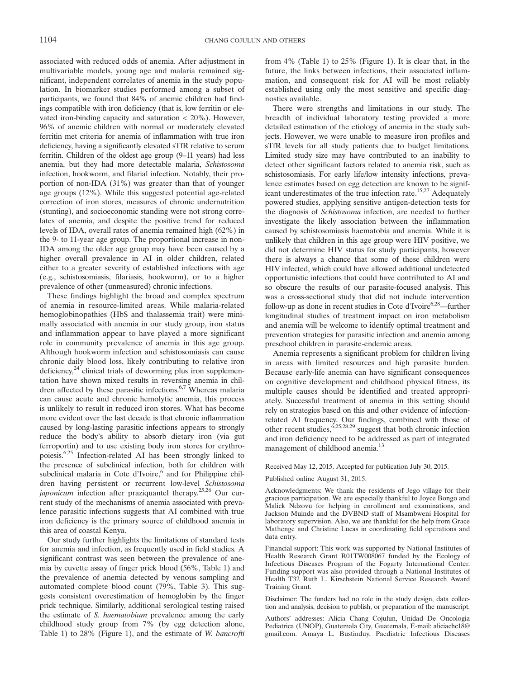associated with reduced odds of anemia. After adjustment in multivariable models, young age and malaria remained significant, independent correlates of anemia in the study population. In biomarker studies performed among a subset of participants, we found that 84% of anemic children had findings compatible with iron deficiency (that is, low ferritin or elevated iron-binding capacity and saturation  $< 20\%$ ). However, 96% of anemic children with normal or moderately elevated ferritin met criteria for anemia of inflammation with true iron deficiency, having a significantly elevated sTfR relative to serum ferritin. Children of the oldest age group (9–11 years) had less anemia, but they had more detectable malaria, Schistosoma infection, hookworm, and filarial infection. Notably, their proportion of non-IDA (31%) was greater than that of younger age groups (12%). While this suggested potential age-related correction of iron stores, measures of chronic undernutrition (stunting), and socioeconomic standing were not strong correlates of anemia, and despite the positive trend for reduced levels of IDA, overall rates of anemia remained high (62%) in the 9- to 11-year age group. The proportional increase in non-IDA among the older age group may have been caused by a higher overall prevalence in AI in older children, related either to a greater severity of established infections with age (e.g., schistosomiasis, filariasis, hookworm), or to a higher prevalence of other (unmeasured) chronic infections.

These findings highlight the broad and complex spectrum of anemia in resource-limited areas. While malaria-related hemoglobinopathies (HbS and thalassemia trait) were minimally associated with anemia in our study group, iron status and inflammation appear to have played a more significant role in community prevalence of anemia in this age group. Although hookworm infection and schistosomiasis can cause chronic daily blood loss, likely contributing to relative iron deficiency,<sup>24</sup> clinical trials of deworming plus iron supplementation have shown mixed results in reversing anemia in children affected by these parasitic infections.<sup>6,7</sup> Whereas malaria can cause acute and chronic hemolytic anemia, this process is unlikely to result in reduced iron stores. What has become more evident over the last decade is that chronic inflammation caused by long-lasting parasitic infections appears to strongly reduce the body's ability to absorb dietary iron (via gut ferroportin) and to use existing body iron stores for erythropoiesis.6,25 Infection-related AI has been strongly linked to the presence of subclinical infection, both for children with subclinical malaria in Cote d'Ivoire,<sup>6</sup> and for Philippine children having persistent or recurrent low-level Schistosoma japonicum infection after praziquantel therapy.<sup>25,26</sup> Our current study of the mechanisms of anemia associated with prevalence parasitic infections suggests that AI combined with true iron deficiency is the primary source of childhood anemia in this area of coastal Kenya.

Our study further highlights the limitations of standard tests for anemia and infection, as frequently used in field studies. A significant contrast was seen between the prevalence of anemia by cuvette assay of finger prick blood (56%, Table 1) and the prevalence of anemia detected by venous sampling and automated complete blood count (79%, Table 3). This suggests consistent overestimation of hemoglobin by the finger prick technique. Similarly, additional serological testing raised the estimate of S. haematobium prevalence among the early childhood study group from 7% (by egg detection alone, Table 1) to 28% (Figure 1), and the estimate of W. bancrofti from 4% (Table 1) to 25% (Figure 1). It is clear that, in the future, the links between infections, their associated inflammation, and consequent risk for AI will be most reliably established using only the most sensitive and specific diagnostics available.

There were strengths and limitations in our study. The breadth of individual laboratory testing provided a more detailed estimation of the etiology of anemia in the study subjects. However, we were unable to measure iron profiles and sTfR levels for all study patients due to budget limitations. Limited study size may have contributed to an inability to detect other significant factors related to anemia risk, such as schistosomiasis. For early life/low intensity infections, prevalence estimates based on egg detection are known to be significant underestimates of the true infection rate.<sup>15,27</sup> Adequately powered studies, applying sensitive antigen-detection tests for the diagnosis of Schistosoma infection, are needed to further investigate the likely association between the inflammation caused by schistosomiasis haematobia and anemia. While it is unlikely that children in this age group were HIV positive, we did not determine HIV status for study participants, however there is always a chance that some of these children were HIV infected, which could have allowed additional undetected opportunistic infections that could have contributed to AI and so obscure the results of our parasite-focused analysis. This was a cross-sectional study that did not include intervention follow-up as done in recent studies in Cote d'Ivoire<sup>6,28</sup>—further longitudinal studies of treatment impact on iron metabolism and anemia will be welcome to identify optimal treatment and prevention strategies for parasitic infection and anemia among preschool children in parasite-endemic areas.

Anemia represents a significant problem for children living in areas with limited resources and high parasite burden. Because early-life anemia can have significant consequences on cognitive development and childhood physical fitness, its multiple causes should be identified and treated appropriately. Successful treatment of anemia in this setting should rely on strategies based on this and other evidence of infectionrelated AI frequency. Our findings, combined with those of other recent studies,  $6,25,28,29$  suggest that both chronic infection and iron deficiency need to be addressed as part of integrated management of childhood anemia.<sup>13</sup>

## Received May 12, 2015. Accepted for publication July 30, 2015.

### Published online August 31, 2015.

Acknowledgments: We thank the residents of Jego village for their gracious participation. We are especially thankful to Joyce Bongo and Malick Ndzovu for helping in enrollment and examinations, and Jackson Muinde and the DVBND staff of Msambweni Hospital for laboratory supervision. Also, we are thankful for the help from Grace Mathenge and Christine Lucas in coordinating field operations and data entry.

Financial support: This work was supported by National Institutes of Health Research Grant R01TW008067 funded by the Ecology of Infectious Diseases Program of the Fogarty International Center. Funding support was also provided through a National Institutes of Health T32 Ruth L. Kirschstein National Service Research Award Training Grant.

Disclaimer: The funders had no role in the study design, data collection and analysis, decision to publish, or preparation of the manuscript.

Authors' addresses: Alicia Chang Cojulun, Unidad De Oncologia Pediatrica (UNOP), Guatemala City, Guatemala, E-mail: aliciachc18@ gmail.com. Amaya L. Bustinduy, Paediatric Infectious Diseases